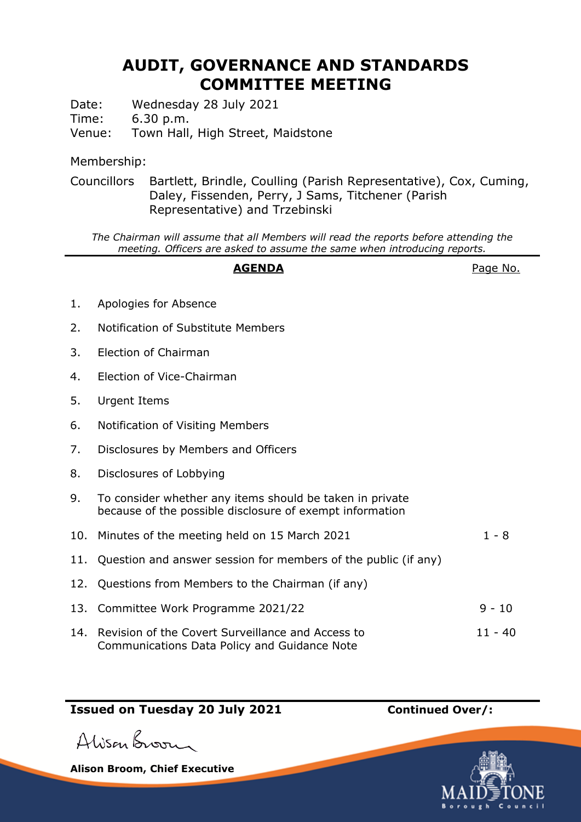# **AUDIT, GOVERNANCE AND STANDARDS COMMITTEE MEETING**

Date: Wednesday 28 July 2021

Time: 6.30 p.m.

Venue: Town Hall, High Street, Maidstone

### Membership:

Councillors Bartlett, Brindle, Coulling (Parish Representative), Cox, Cuming, Daley, Fissenden, Perry, J Sams, Titchener (Parish Representative) and Trzebinski

*The Chairman will assume that all Members will read the reports before attending the meeting. Officers are asked to assume the same when introducing reports.*

### **AGENDA** Page No.

- 1. Apologies for Absence
- 2. Notification of Substitute Members
- 3. Election of Chairman
- 4. Election of Vice-Chairman
- 5. Urgent Items
- 6. Notification of Visiting Members
- 7. Disclosures by Members and Officers
- 8. Disclosures of Lobbying
- 9. To consider whether any items should be taken in private because of the possible disclosure of exempt information
- 10. Minutes of the meeting held on 15 March 2021 1 8
- 11. Question and answer session for members of the public (if any)
- 12. Questions from Members to the Chairman (if any)
- 13. Committee Work Programme 2021/22 9 10
- 14. Revision of the Covert Surveillance and Access to Communications Data Policy and Guidance Note 11 - 40

## **Issued on Tuesday 20 July 2021 Continued Over/:**

Alisan Broom

**Alison Broom, Chief Executive**